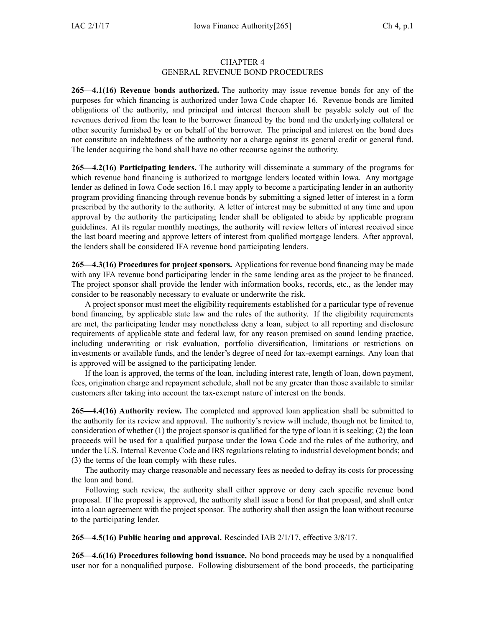## CHAPTER 4 GENERAL REVENUE BOND PROCEDURES

**265—4.1(16) Revenue bonds authorized.** The authority may issue revenue bonds for any of the purposes for which financing is authorized under Iowa Code chapter [16](https://www.legis.iowa.gov/docs/ico/chapter/16.pdf). Revenue bonds are limited obligations of the authority, and principal and interest thereon shall be payable solely out of the revenues derived from the loan to the borrower financed by the bond and the underlying collateral or other security furnished by or on behalf of the borrower. The principal and interest on the bond does not constitute an indebtedness of the authority nor <sup>a</sup> charge against its general credit or general fund. The lender acquiring the bond shall have no other recourse against the authority.

**265—4.2(16) Participating lenders.** The authority will disseminate <sup>a</sup> summary of the programs for which revenue bond financing is authorized to mortgage lenders located within Iowa. Any mortgage lender as defined in Iowa Code section [16.1](https://www.legis.iowa.gov/docs/ico/section/16.1.pdf) may apply to become <sup>a</sup> participating lender in an authority program providing financing through revenue bonds by submitting <sup>a</sup> signed letter of interest in <sup>a</sup> form prescribed by the authority to the authority. A letter of interest may be submitted at any time and upon approval by the authority the participating lender shall be obligated to abide by applicable program guidelines. At its regular monthly meetings, the authority will review letters of interest received since the last board meeting and approve letters of interest from qualified mortgage lenders. After approval, the lenders shall be considered IFA revenue bond participating lenders.

**265—4.3(16) Procedures for project sponsors.** Applications for revenue bond financing may be made with any IFA revenue bond participating lender in the same lending area as the project to be financed. The project sponsor shall provide the lender with information books, records, etc., as the lender may consider to be reasonably necessary to evaluate or underwrite the risk.

A project sponsor must meet the eligibility requirements established for <sup>a</sup> particular type of revenue bond financing, by applicable state law and the rules of the authority. If the eligibility requirements are met, the participating lender may nonetheless deny <sup>a</sup> loan, subject to all reporting and disclosure requirements of applicable state and federal law, for any reason premised on sound lending practice, including underwriting or risk evaluation, portfolio diversification, limitations or restrictions on investments or available funds, and the lender's degree of need for tax-exempt earnings. Any loan that is approved will be assigned to the participating lender.

If the loan is approved, the terms of the loan, including interest rate, length of loan, down payment, fees, origination charge and repaymen<sup>t</sup> schedule, shall not be any greater than those available to similar customers after taking into account the tax-exempt nature of interest on the bonds.

**265—4.4(16) Authority review.** The completed and approved loan application shall be submitted to the authority for its review and approval. The authority's review will include, though not be limited to, consideration of whether (1) the project sponsor is qualified for the type of loan it is seeking; (2) the loan proceeds will be used for <sup>a</sup> qualified purpose under the Iowa Code and the rules of the authority, and under the U.S. Internal Revenue Code and IRS regulations relating to industrial development bonds; and (3) the terms of the loan comply with these rules.

The authority may charge reasonable and necessary fees as needed to defray its costs for processing the loan and bond.

Following such review, the authority shall either approve or deny each specific revenue bond proposal. If the proposal is approved, the authority shall issue <sup>a</sup> bond for that proposal, and shall enter into <sup>a</sup> loan agreemen<sup>t</sup> with the project sponsor. The authority shall then assign the loan without recourse to the participating lender.

**265—4.5(16) Public hearing and approval.** Rescinded IAB 2/1/17, effective 3/8/17.

**265—4.6(16) Procedures following bond issuance.** No bond proceeds may be used by <sup>a</sup> nonqualified user nor for <sup>a</sup> nonqualified purpose. Following disbursement of the bond proceeds, the participating